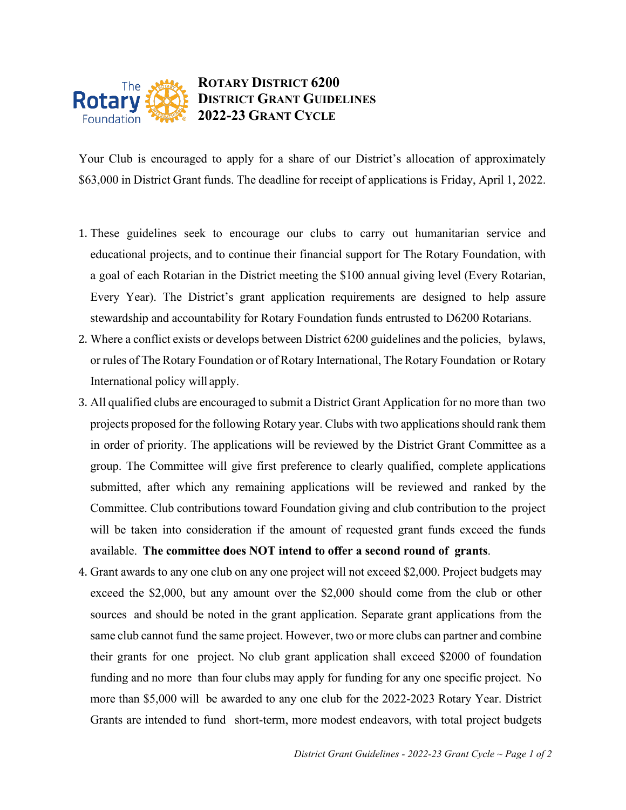

## **ROTARY DISTRICT 6200 DISTRICT GRANT GUIDELINES 2022-23 GRANT CYCLE**

Your Club is encouraged to apply for a share of our District's allocation of approximately \$63,000 in District Grant funds. The deadline for receipt of applications is Friday, April 1, 2022.

- 1. These guidelines seek to encourage our clubs to carry out humanitarian service and educational projects, and to continue their financial support for The Rotary Foundation, with a goal of each Rotarian in the District meeting the \$100 annual giving level (Every Rotarian, Every Year). The District's grant application requirements are designed to help assure stewardship and accountability for Rotary Foundation funds entrusted to D6200 Rotarians.
- 2. Where a conflict exists or develops between District 6200 guidelines and the policies, bylaws, or rules of The Rotary Foundation or of Rotary International, TheRotary Foundation or Rotary International policy will apply.
- 3. All qualified clubs are encouraged to submit a District Grant Application for no more than two projects proposed for the following Rotary year. Clubs with two applications should rank them in order of priority. The applications will be reviewed by the District Grant Committee as a group. The Committee will give first preference to clearly qualified, complete applications submitted, after which any remaining applications will be reviewed and ranked by the Committee. Club contributions toward Foundation giving and club contribution to the project will be taken into consideration if the amount of requested grant funds exceed the funds available. **The committee does NOT intend to offer a second round of grants**.
- 4. Grant awards to any one club on any one project will not exceed \$2,000. Project budgets may exceed the \$2,000, but any amount over the \$2,000 should come from the club or other sources and should be noted in the grant application. Separate grant applications from the same club cannot fund the same project. However, two or more clubs can partner and combine their grants for one project. No club grant application shall exceed \$2000 of foundation funding and no more than four clubs may apply for funding for any one specific project. No more than \$5,000 will be awarded to any one club for the 2022-2023 Rotary Year. District Grants are intended to fund short-term, more modest endeavors, with total project budgets